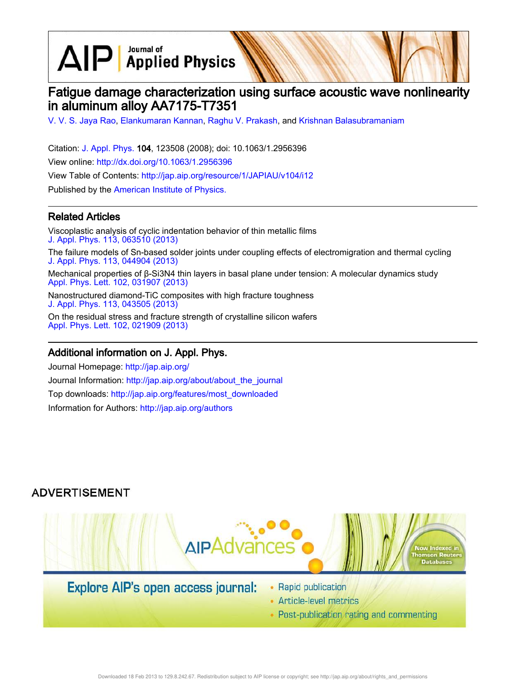$\text{AlP}$  Applied Physics

# Fatigue damage characterization using surface acoustic wave nonlinearity in aluminum alloy AA7175-T7351

V. V. S. Jaya Rao, Elankumaran Kannan, Raghu V. Prakash, and Krishnan Balasubramaniam

Citation: J. Appl. Phys. 104, 123508 (2008); doi: 10.1063/1.2956396 View online: http://dx.doi.org/10.1063/1.2956396 View Table of Contents: http://jap.aip.org/resource/1/JAPIAU/v104/i12 Published by the American Institute of Physics.

# Related Articles

Viscoplastic analysis of cyclic indentation behavior of thin metallic films J. Appl. Phys. 113, 063510 (2013) The failure models of Sn-based solder joints under coupling effects of electromigration and thermal cycling J. Appl. Phys. 113, 044904 (2013) Mechanical properties of β-Si3N4 thin layers in basal plane under tension: A molecular dynamics study Appl. Phys. Lett. 102, 031907 (2013)

Nanostructured diamond-TiC composites with high fracture toughness J. Appl. Phys. 113, 043505 (2013)

On the residual stress and fracture strength of crystalline silicon wafers Appl. Phys. Lett. 102, 021909 (2013)

### Additional information on J. Appl. Phys.

Journal Homepage: http://jap.aip.org/ Journal Information: http://jap.aip.org/about/about\_the\_journal Top downloads: http://jap.aip.org/features/most\_downloaded Information for Authors: http://jap.aip.org/authors

# **ADVERTISEMENT**



# Explore AIP's open access journal:

- Rapid publication
- Article-level metrics
- Post-publication rating and commenting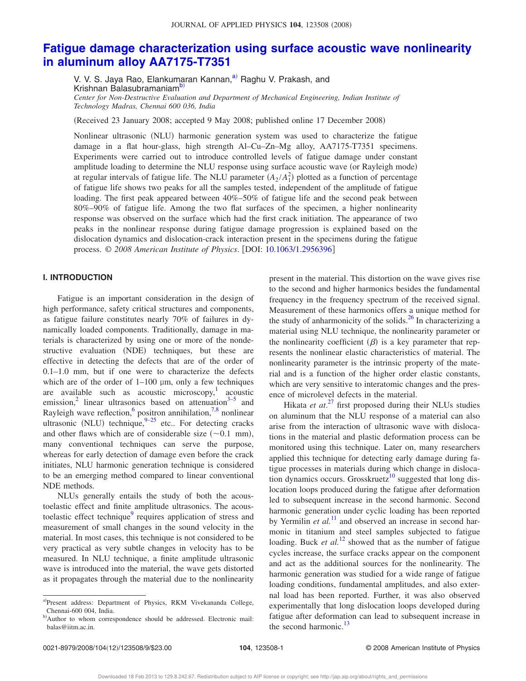# **Fatigue damage characterization using surface acoustic wave nonlinearity in aluminum alloy AA7175-T7351**

V. V. S. Jaya Rao, Elankumaran Kannan,<sup>a)</sup> Raghu V. Prakash, and Krishnan Balasubramaniam<sup>b)</sup> *Center for Non-Destructive Evaluation and Department of Mechanical Engineering, Indian Institute of Technology Madras, Chennai 600 036, India*

Received 23 January 2008; accepted 9 May 2008; published online 17 December 2008-

Nonlinear ultrasonic (NLU) harmonic generation system was used to characterize the fatigue damage in a flat hour-glass, high strength Al–Cu–Zn–Mg alloy, AA7175-T7351 specimens. Experiments were carried out to introduce controlled levels of fatigue damage under constant amplitude loading to determine the NLU response using surface acoustic wave (or Rayleigh mode) at regular intervals of fatigue life. The NLU parameter  $(A_2/A_1^2)$  plotted as a function of percentage of fatigue life shows two peaks for all the samples tested, independent of the amplitude of fatigue loading. The first peak appeared between 40%–50% of fatigue life and the second peak between 80%–90% of fatigue life. Among the two flat surfaces of the specimen, a higher nonlinearity response was observed on the surface which had the first crack initiation. The appearance of two peaks in the nonlinear response during fatigue damage progression is explained based on the dislocation dynamics and dislocation-crack interaction present in the specimens during the fatigue process. © 2008 American Institute of Physics. [DOI: 10.1063/1.2956396]

### **I. INTRODUCTION**

Fatigue is an important consideration in the design of high performance, safety critical structures and components, as fatigue failure constitutes nearly 70% of failures in dynamically loaded components. Traditionally, damage in materials is characterized by using one or more of the nondestructive evaluation (NDE) techniques, but these are effective in detecting the defects that are of the order of 0.1–1.0 mm, but if one were to characterize the defects which are of the order of  $1-100 \mu m$ , only a few techniques are available such as acoustic microscopy,<sup>1</sup> acoustic emission,<sup>2</sup> linear ultrasonics based on attenuation<sup>3-5</sup> and Rayleigh wave reflection, positron annihilation,<sup>7,8</sup> nonlinear ultrasonic (NLU) technique,  $9-25$  etc.. For detecting cracks and other flaws which are of considerable size  $(\sim 0.1 \text{ mm})$ , many conventional techniques can serve the purpose, whereas for early detection of damage even before the crack initiates, NLU harmonic generation technique is considered to be an emerging method compared to linear conventional NDE methods.

NLUs generally entails the study of both the acoustoelastic effect and finite amplitude ultrasonics. The acoustoelastic effect technique<sup>9</sup> requires application of stress and measurement of small changes in the sound velocity in the material. In most cases, this technique is not considered to be very practical as very subtle changes in velocity has to be measured. In NLU technique, a finite amplitude ultrasonic wave is introduced into the material, the wave gets distorted as it propagates through the material due to the nonlinearity present in the material. This distortion on the wave gives rise to the second and higher harmonics besides the fundamental frequency in the frequency spectrum of the received signal. Measurement of these harmonics offers a unique method for the study of anharmonicity of the solids. $^{26}$  In characterizing a material using NLU technique, the nonlinearity parameter or the nonlinearity coefficient  $(\beta)$  is a key parameter that represents the nonlinear elastic characteristics of material. The nonlinearity parameter is the intrinsic property of the material and is a function of the higher order elastic constants, which are very sensitive to interatomic changes and the presence of microlevel defects in the material.

Hikata *et at*. <sup>27</sup> first proposed during their NLUs studies on aluminum that the NLU response of a material can also arise from the interaction of ultrasonic wave with dislocations in the material and plastic deformation process can be monitored using this technique. Later on, many researchers applied this technique for detecting early damage during fatigue processes in materials during which change in dislocation dynamics occurs. Grosskruetz<sup>10</sup> suggested that long dislocation loops produced during the fatigue after deformation led to subsequent increase in the second harmonic. Second harmonic generation under cyclic loading has been reported by Yermilin *et al.*<sup>11</sup> and observed an increase in second harmonic in titanium and steel samples subjected to fatigue loading. Buck *et al.*<sup>12</sup> showed that as the number of fatigue cycles increase, the surface cracks appear on the component and act as the additional sources for the nonlinearity. The harmonic generation was studied for a wide range of fatigue loading conditions, fundamental amplitudes, and also external load has been reported. Further, it was also observed experimentally that long dislocation loops developed during fatigue after deformation can lead to subsequent increase in the second harmonic.<sup>13</sup>

a)Present address: Department of Physics, RKM Vivekananda College, Chennai-600 004, India.

b)Author to whom correspondence should be addressed. Electronic mail: balas@iitm.ac.in.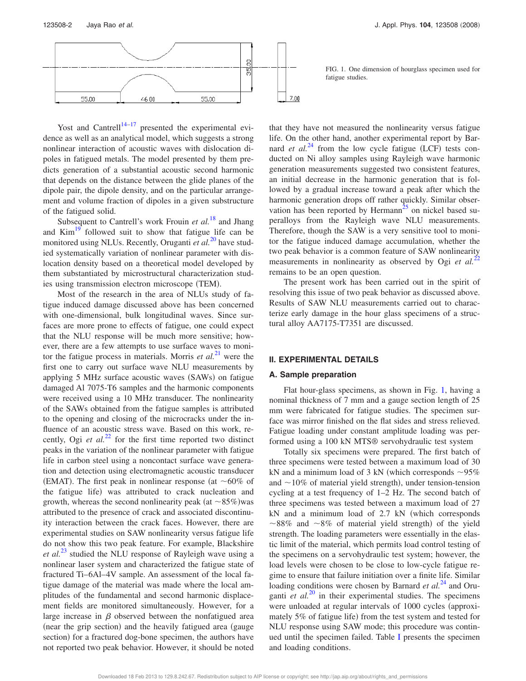

Yost and Cantrell $14-17$  presented the experimental evidence as well as an analytical model, which suggests a strong nonlinear interaction of acoustic waves with dislocation dipoles in fatigued metals. The model presented by them predicts generation of a substantial acoustic second harmonic that depends on the distance between the glide planes of the dipole pair, the dipole density, and on the particular arrangement and volume fraction of dipoles in a given substructure of the fatigued solid.

Subsequent to Cantrell's work Frouin *et al.*<sup>18</sup> and Jhang and  $Kim<sup>19</sup>$  followed suit to show that fatigue life can be monitored using NLUs. Recently, Oruganti *et al.*<sup>20</sup> have studied systematically variation of nonlinear parameter with dislocation density based on a theoretical model developed by them substantiated by microstructural characterization studies using transmission electron microscope (TEM).

Most of the research in the area of NLUs study of fatigue induced damage discussed above has been concerned with one-dimensional, bulk longitudinal waves. Since surfaces are more prone to effects of fatigue, one could expect that the NLU response will be much more sensitive; however, there are a few attempts to use surface waves to monitor the fatigue process in materials. Morris *et al.*<sup>21</sup> were the first one to carry out surface wave NLU measurements by applying 5 MHz surface acoustic waves (SAWs) on fatigue damaged Al 7075-T6 samples and the harmonic components were received using a 10 MHz transducer. The nonlinearity of the SAWs obtained from the fatigue samples is attributed to the opening and closing of the microcracks under the influence of an acoustic stress wave. Based on this work, recently, Ogi *et al.*<sup>22</sup> for the first time reported two distinct peaks in the variation of the nonlinear parameter with fatigue life in carbon steel using a noncontact surface wave generation and detection using electromagnetic acoustic transducer (EMAT). The first peak in nonlinear response (at  $\sim 60\%$  of the fatigue life) was attributed to crack nucleation and growth, whereas the second nonlinearity peak (at  $\sim 85\%$ ) was attributed to the presence of crack and associated discontinuity interaction between the crack faces. However, there are experimental studies on SAW nonlinearity versus fatigue life do not show this two peak feature. For example, Blackshire *et al.*<sup>23</sup> studied the NLU response of Rayleigh wave using a nonlinear laser system and characterized the fatigue state of fractured Ti–6Al–4V sample. An assessment of the local fatigue damage of the material was made where the local amplitudes of the fundamental and second harmonic displacement fields are monitored simultaneously. However, for a large increase in  $\beta$  observed between the nonfatigued area (near the grip section) and the heavily fatigued area (gauge section) for a fractured dog-bone specimen, the authors have not reported two peak behavior. However, it should be noted

FIG. 1. One dimension of hourglass specimen used for fatigue studies.

that they have not measured the nonlinearity versus fatigue life. On the other hand, another experimental report by Barnard *et al.*<sup>24</sup> from the low cycle fatigue (LCF) tests conducted on Ni alloy samples using Rayleigh wave harmonic generation measurements suggested two consistent features, an initial decrease in the harmonic generation that is followed by a gradual increase toward a peak after which the harmonic generation drops off rather quickly. Similar observation has been reported by Hermann<sup>25</sup> on nickel based superalloys from the Rayleigh wave NLU measurements. Therefore, though the SAW is a very sensitive tool to monitor the fatigue induced damage accumulation, whether the two peak behavior is a common feature of SAW nonlinearity measurements in nonlinearity as observed by Ogi *et al.*<sup>22</sup> remains to be an open question.

The present work has been carried out in the spirit of resolving this issue of two peak behavior as discussed above. Results of SAW NLU measurements carried out to characterize early damage in the hour glass specimens of a structural alloy AA7175-T7351 are discussed.

### **II. EXPERIMENTAL DETAILS**

#### **A. Sample preparation**

Flat hour-glass specimens, as shown in Fig. 1, having a nominal thickness of 7 mm and a gauge section length of 25 mm were fabricated for fatigue studies. The specimen surface was mirror finished on the flat sides and stress relieved. Fatigue loading under constant amplitude loading was performed using a 100 kN MTS® servohydraulic test system

Totally six specimens were prepared. The first batch of three specimens were tested between a maximum load of 30 kN and a minimum load of 3 kN (which corresponds  $\sim$ 95% and  $\sim$ 10% of material yield strength), under tension-tension cycling at a test frequency of 1–2 Hz. The second batch of three specimens was tested between a maximum load of 27  $kN$  and a minimum load of 2.7  $kN$  (which corresponds  $\sim$ 88% and  $\sim$ 8% of material yield strength) of the yield strength. The loading parameters were essentially in the elastic limit of the material, which permits load control testing of the specimens on a servohydraulic test system; however, the load levels were chosen to be close to low-cycle fatigue regime to ensure that failure initiation over a finite life. Similar loading conditions were chosen by Barnard *et al.*<sup>24</sup> and Oruganti *et al.*<sup>20</sup> in their experimental studies. The specimens were unloaded at regular intervals of 1000 cycles (approximately 5% of fatigue life) from the test system and tested for NLU response using SAW mode; this procedure was continued until the specimen failed. Table I presents the specimen and loading conditions.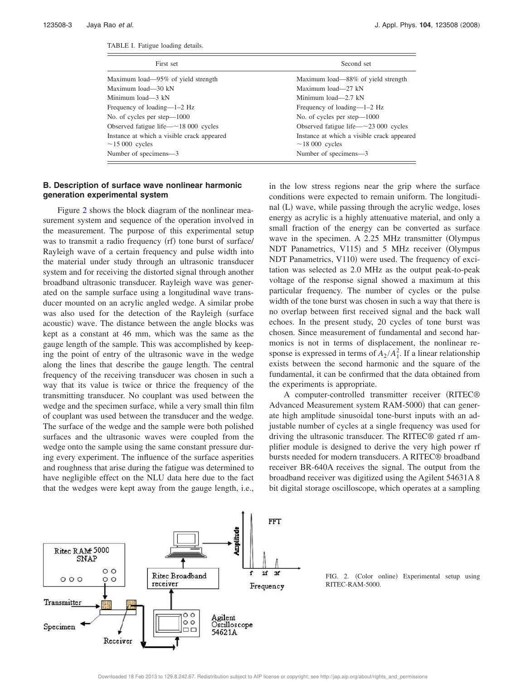| First set                                                          | Second set                                                         |  |  |
|--------------------------------------------------------------------|--------------------------------------------------------------------|--|--|
| Maximum load—95% of yield strength                                 | Maximum load—88% of yield strength                                 |  |  |
| Maximum load—30 kN                                                 | Maximum load-27 kN                                                 |  |  |
| Minimum load—3 kN                                                  | Minimum load—2.7 kN                                                |  |  |
| Frequency of loading—1–2 Hz                                        | Frequency of loading— $1-2$ Hz                                     |  |  |
| No. of cycles per step—1000                                        | No. of cycles per step—1000                                        |  |  |
| Observed fatigue life $-$ ~18 000 cycles                           | Observed fatigue life $-\sim$ 23 000 cycles                        |  |  |
| Instance at which a visible crack appeared<br>$\sim$ 15 000 cycles | Instance at which a visible crack appeared<br>$\sim$ 18 000 cycles |  |  |
| Number of specimens-3                                              | Number of specimens-3                                              |  |  |

#### **B. Description of surface wave nonlinear harmonic generation experimental system**

Figure 2 shows the block diagram of the nonlinear measurement system and sequence of the operation involved in the measurement. The purpose of this experimental setup was to transmit a radio frequency (rf) tone burst of surface/ Rayleigh wave of a certain frequency and pulse width into the material under study through an ultrasonic transducer system and for receiving the distorted signal through another broadband ultrasonic transducer. Rayleigh wave was generated on the sample surface using a longitudinal wave transducer mounted on an acrylic angled wedge. A similar probe was also used for the detection of the Rayleigh (surface acoustic) wave. The distance between the angle blocks was kept as a constant at 46 mm, which was the same as the gauge length of the sample. This was accomplished by keeping the point of entry of the ultrasonic wave in the wedge along the lines that describe the gauge length. The central frequency of the receiving transducer was chosen in such a way that its value is twice or thrice the frequency of the transmitting transducer. No couplant was used between the wedge and the specimen surface, while a very small thin film of couplant was used between the transducer and the wedge. The surface of the wedge and the sample were both polished surfaces and the ultrasonic waves were coupled from the wedge onto the sample using the same constant pressure during every experiment. The influence of the surface asperities and roughness that arise during the fatigue was determined to have negligible effect on the NLU data here due to the fact that the wedges were kept away from the gauge length, i.e., in the low stress regions near the grip where the surface conditions were expected to remain uniform. The longitudinal (L) wave, while passing through the acrylic wedge, loses energy as acrylic is a highly attenuative material, and only a small fraction of the energy can be converted as surface wave in the specimen. A 2.25 MHz transmitter (Olympus NDT Panametrics, V115) and 5 MHz receiver (Olympus NDT Panametrics, V110) were used. The frequency of excitation was selected as 2.0 MHz as the output peak-to-peak voltage of the response signal showed a maximum at this particular frequency. The number of cycles or the pulse width of the tone burst was chosen in such a way that there is no overlap between first received signal and the back wall echoes. In the present study, 20 cycles of tone burst was chosen. Since measurement of fundamental and second harmonics is not in terms of displacement, the nonlinear response is expressed in terms of  $A_2/A_1^2$ . If a linear relationship exists between the second harmonic and the square of the fundamental, it can be confirmed that the data obtained from the experiments is appropriate.

A computer-controlled transmitter receiver (RITEC® Advanced Measurement system RAM-5000) that can generate high amplitude sinusoidal tone-burst inputs with an adjustable number of cycles at a single frequency was used for driving the ultrasonic transducer. The RITEC® gated rf amplifier module is designed to derive the very high power rf bursts needed for modern transducers. A RITEC® broadband receiver BR-640A receives the signal. The output from the broadband receiver was digitized using the Agilent 54631A 8 bit digital storage oscilloscope, which operates at a sampling



FIG. 2. (Color online) Experimental setup using RITEC-RAM-5000.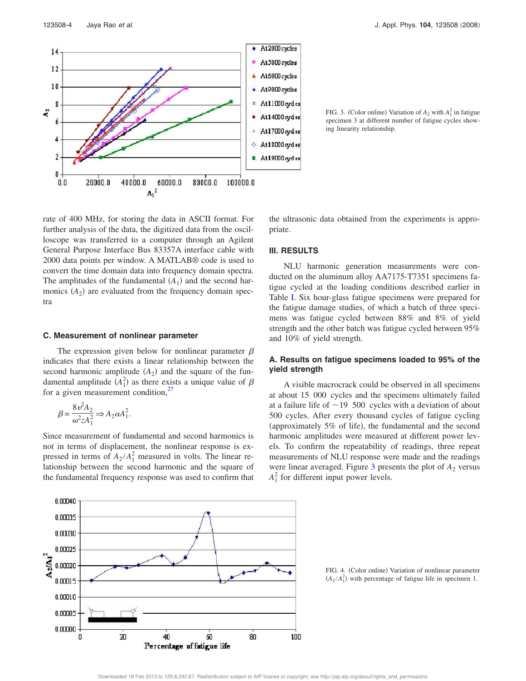rate of 400 MHz, for storing the data in ASCII format. For further analysis of the data, the digitized data from the oscilloscope was transferred to a computer through an Agilent General Purpose Interface Bus 83357A interface cable with 2000 data points per window. A MATLAB® code is used to convert the time domain data into frequency domain spectra. The amplitudes of the fundamental  $(A_1)$  and the second harmonics  $(A_2)$  are evaluated from the frequency domain spectra

### **C. Measurement of nonlinear parameter**

The expression given below for nonlinear parameter  $\beta$ indicates that there exists a linear relationship between the second harmonic amplitude  $(A_2)$  and the square of the fundamental amplitude  $(A_1^2)$  as there exists a unique value of  $\beta$ for a given measurement condition, $\frac{2}{7}$ 

$$
\beta = \frac{8\,\nu^2 A_2}{\omega^2 z A_1^2} \Rightarrow A_2 \alpha A_1^2.
$$

Since measurement of fundamental and second harmonics is not in terms of displacement, the nonlinear response is expressed in terms of  $A_2/A_1^2$  measured in volts. The linear relationship between the second harmonic and the square of the fundamental frequency response was used to confirm that

 $(A_2/A_1^2)$  with percentage of fatigue life in specimen 1.

FIG. 3. (Color online) Variation of  $A_2$  with  $A_1^2$  in fatigue specimen 3 at different number of fatigue cycles showing linearity relationship.

the ultrasonic data obtained from the experiments is appro-

NLU harmonic generation measurements were conducted on the aluminum alloy AA7175-T7351 specimens fatigue cycled at the loading conditions described earlier in Table I. Six hour-glass fatigue specimens were prepared for the fatigue damage studies, of which a batch of three specimens was fatigue cycled between 88% and 8% of yield strength and the other batch was fatigue cycled between 95%

**A. Results on fatigue specimens loaded to 95% of the**

A visible macrocrack could be observed in all specimens at about 15 000 cycles and the specimens ultimately failed at a failure life of  $\sim$  19 500 cycles with a deviation of about 500 cycles. After every thousand cycles of fatigue cycling (approximately 5% of life), the fundamental and the second harmonic amplitudes were measured at different power levels. To confirm the repeatability of readings, three repeat measurements of NLU response were made and the readings were linear averaged. Figure  $3$  presents the plot of  $A_2$  versus





priate.

**III. RESULTS**

**yield strength**

and 10% of yield strength.



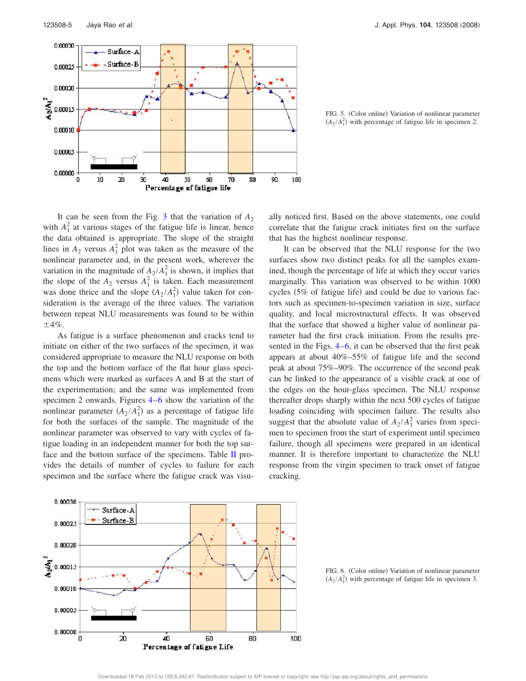

FIG. 5. (Color online) Variation of nonlinear parameter  $(A_2/A_1^2)$  with percentage of fatigue life in specimen 2.

It can be seen from the Fig. 3 that the variation of  $A_2$ with  $A_1^2$  at various stages of the fatigue life is linear, hence the data obtained is appropriate. The slope of the straight lines in  $A_2$  versus  $A_1^2$  plot was taken as the measure of the nonlinear parameter and, in the present work, wherever the variation in the magnitude of  $A_2/A_1^2$  is shown, it implies that the slope of the  $A_2$  versus  $A_1^2$  is taken. Each measurement was done thrice and the slope  $(A_2/A_1^2)$  value taken for consideration is the average of the three values. The variation between repeat NLU measurements was found to be within 4*%*.

As fatigue is a surface phenomenon and cracks tend to initiate on either of the two surfaces of the specimen, it was considered appropriate to measure the NLU response on both the top and the bottom surface of the flat hour glass specimens which were marked as surfaces A and B at the start of the experimentation; and the same was implemented from specimen 2 onwards. Figures 4–6 show the variation of the nonlinear parameter  $(A_2/A_1^2)$  as a percentage of fatigue life for both the surfaces of the sample. The magnitude of the nonlinear parameter was observed to vary with cycles of fatigue loading in an independent manner for both the top surface and the bottom surface of the specimens. Table II provides the details of number of cycles to failure for each specimen and the surface where the fatigue crack was visually noticed first. Based on the above statements, one could correlate that the fatigue crack initiates first on the surface that has the highest nonlinear response.

It can be observed that the NLU response for the two surfaces show two distinct peaks for all the samples examined, though the percentage of life at which they occur varies marginally. This variation was observed to be within 1000 cycles (5% of fatigue life) and could be due to various factors such as specimen-to-specimen variation in size, surface quality, and local microstructural effects. It was observed that the surface that showed a higher value of nonlinear parameter had the first crack initiation. From the results presented in the Figs. 4–6, it can be observed that the first peak appears at about 40%–55% of fatigue life and the second peak at about 75%–90%. The occurrence of the second peak can be linked to the appearance of a visible crack at one of the edges on the hour-glass specimen. The NLU response thereafter drops sharply within the next 500 cycles of fatigue loading coinciding with specimen failure. The results also suggest that the absolute value of  $A_2/A_1^2$  varies from specimen to specimen from the start of experiment until specimen failure, though all specimens were prepared in an identical manner. It is therefore important to characterize the NLU response from the virgin specimen to track onset of fatigue cracking.



FIG. 6. (Color online) Variation of nonlinear parameter  $(A_2/A_1^2)$  with percentage of fatigue life in specimen 3.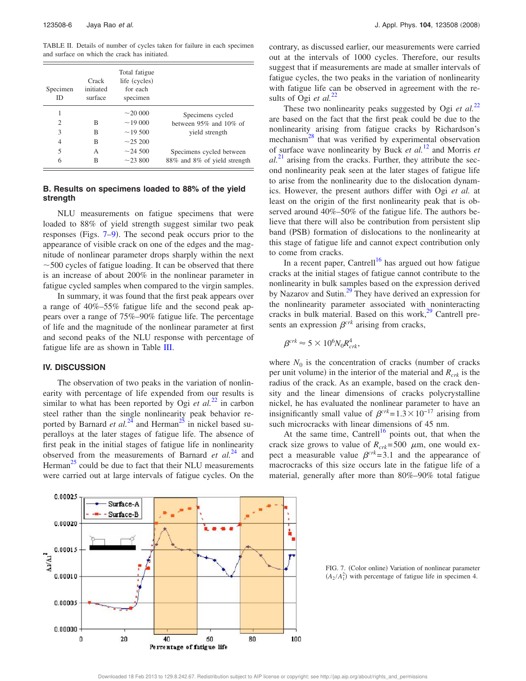TABLE II. Details of number of cycles taken for failure in each specimen and surface on which the crack has initiated.

| Specimen<br>ID              | Crack<br>initiated<br>surface | Total fatigue<br>life (cycles)<br>for each<br>specimen |                              |
|-----------------------------|-------------------------------|--------------------------------------------------------|------------------------------|
| 1                           |                               | $\sim$ 20 000                                          | Specimens cycled             |
| $\mathcal{D}_{\mathcal{L}}$ | B                             | $\sim$ 19 000                                          | between $95\%$ and $10\%$ of |
| 3                           | R                             | $\sim$ 19.500                                          | vield strength               |
| 4                           | B                             | $\sim$ 25 200                                          |                              |
| 5                           | А                             | $\sim$ 24.500                                          | Specimens cycled between     |
| 6                           | B                             | $\sim$ 23.800                                          | 88% and 8% of yield strength |

### **B. Results on specimens loaded to 88% of the yield strength**

NLU measurements on fatigue specimens that were loaded to 88% of yield strength suggest similar two peak responses (Figs. 7–9). The second peak occurs prior to the appearance of visible crack on one of the edges and the magnitude of nonlinear parameter drops sharply within the next  $\sim$  500 cycles of fatigue loading. It can be observed that there is an increase of about 200% in the nonlinear parameter in fatigue cycled samples when compared to the virgin samples.

In summary, it was found that the first peak appears over a range of 40%–55% fatigue life and the second peak appears over a range of 75%–90% fatigue life. The percentage of life and the magnitude of the nonlinear parameter at first and second peaks of the NLU response with percentage of fatigue life are as shown in Table III.

#### **IV. DISCUSSION**

The observation of two peaks in the variation of nonlinearity with percentage of life expended from our results is similar to what has been reported by Ogi *et al.*<sup>22</sup> in carbon steel rather than the single nonlinearity peak behavior reported by Barnard *et al.*<sup>24</sup> and Herman<sup>25</sup> in nickel based superalloys at the later stages of fatigue life. The absence of first peak in the initial stages of fatigue life in nonlinearity observed from the measurements of Barnard *et al.*<sup>24</sup> and Herman<sup>25</sup> could be due to fact that their NLU measurements were carried out at large intervals of fatigue cycles. On the contrary, as discussed earlier, our measurements were carried out at the intervals of 1000 cycles. Therefore, our results suggest that if measurements are made at smaller intervals of fatigue cycles, the two peaks in the variation of nonlinearity with fatigue life can be observed in agreement with the results of Ogi *et al.*<sup>22</sup>

These two nonlinearity peaks suggested by Ogi et al.<sup>22</sup> are based on the fact that the first peak could be due to the nonlinearity arising from fatigue cracks by Richardson's mechanism<sup>28</sup> that was verified by experimental observation of surface wave nonlinearity by Buck *et al.*<sup>12</sup> and Morris *et*  $al.<sup>21</sup>$  arising from the cracks. Further, they attribute the second nonlinearity peak seen at the later stages of fatigue life to arise from the nonlinearity due to the dislocation dynamics. However, the present authors differ with Ogi *et al.* at least on the origin of the first nonlinearity peak that is observed around 40%–50% of the fatigue life. The authors believe that there will also be contribution from persistent slip band (PSB) formation of dislocations to the nonlinearity at this stage of fatigue life and cannot expect contribution only to come from cracks.

In a recent paper, Cantrell<sup>16</sup> has argued out how fatigue cracks at the initial stages of fatigue cannot contribute to the nonlinearity in bulk samples based on the expression derived by Nazarov and Sutin.<sup>29</sup> They have derived an expression for the nonlinearity parameter associated with noninteracting cracks in bulk material. Based on this work, $29$  Cantrell presents an expression  $\beta^{crk}$  arising from cracks,

$$
\beta^{crk} \approx 5 \times 10^6 N_0 R_{crk}^4,
$$

where  $N_0$  is the concentration of cracks (number of cracks per unit volume) in the interior of the material and  $R_{crk}$  is the radius of the crack. As an example, based on the crack density and the linear dimensions of cracks polycrystalline nickel, he has evaluated the nonlinear parameter to have an insignificantly small value of  $\beta^{crk}$ =1.3 × 10<sup>-17</sup> arising from such microcracks with linear dimensions of 45 nm.

At the same time, Cantrell<sup>16</sup> points out, that when the crack size grows to value of  $R_{crk}$ =500  $\mu$ m, one would expect a measurable value  $\beta^{crk}$  = 3.1 and the appearance of macrocracks of this size occurs late in the fatigue life of a material, generally after more than 80%–90% total fatigue



FIG. 7. (Color online) Variation of nonlinear parameter  $(A_2/A_1^2)$  with percentage of fatigue life in specimen 4.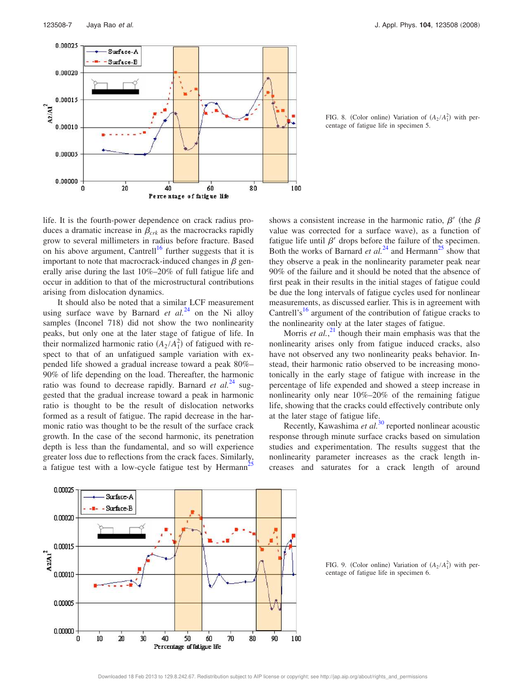

FIG. 8. (Color online) Variation of  $(A_2/A_1^2)$  with percentage of fatigue life in specimen 5.

life. It is the fourth-power dependence on crack radius produces a dramatic increase in  $\beta_{crk}$  as the macrocracks rapidly grow to several millimeters in radius before fracture. Based on his above argument, Cantrell<sup>16</sup> further suggests that it is important to note that macrocrack-induced changes in  $\beta$  generally arise during the last 10%–20% of full fatigue life and occur in addition to that of the microstructural contributions arising from dislocation dynamics.

It should also be noted that a similar LCF measurement using surface wave by Barnard  $et \ al.<sup>24</sup>$  on the Ni alloy samples (Inconel 718) did not show the two nonlinearity peaks, but only one at the later stage of fatigue of life. In their normalized harmonic ratio  $(A_2/A_1^2)$  of fatigued with respect to that of an unfatigued sample variation with expended life showed a gradual increase toward a peak 80%– 90% of life depending on the load. Thereafter, the harmonic ratio was found to decrease rapidly. Barnard et al.<sup>24</sup> suggested that the gradual increase toward a peak in harmonic ratio is thought to be the result of dislocation networks formed as a result of fatigue. The rapid decrease in the harmonic ratio was thought to be the result of the surface crack growth. In the case of the second harmonic, its penetration depth is less than the fundamental, and so will experience greater loss due to reflections from the crack faces. Similarly, a fatigue test with a low-cycle fatigue test by Hermann<sup>2</sup>

shows a consistent increase in the harmonic ratio,  $\beta'$  (the  $\beta$ value was corrected for a surface wave), as a function of fatigue life until  $\beta'$  drops before the failure of the specimen. Both the works of Barnard *et al.*<sup>24</sup> and Hermann<sup>25</sup> show that they observe a peak in the nonlinearity parameter peak near 90% of the failure and it should be noted that the absence of first peak in their results in the initial stages of fatigue could be due the long intervals of fatigue cycles used for nonlinear measurements, as discussed earlier. This is in agreement with Cantrell's<sup>16</sup> argument of the contribution of fatigue cracks to the nonlinearity only at the later stages of fatigue.

Morris *et al.*<sup>21</sup> though their main emphasis was that the nonlinearity arises only from fatigue induced cracks, also have not observed any two nonlinearity peaks behavior. Instead, their harmonic ratio observed to be increasing monotonically in the early stage of fatigue with increase in the percentage of life expended and showed a steep increase in nonlinearity only near 10%–20% of the remaining fatigue life, showing that the cracks could effectively contribute only at the later stage of fatigue life.

Recently, Kawashima *et al.*<sup>30</sup> reported nonlinear acoustic response through minute surface cracks based on simulation studies and experimentation. The results suggest that the nonlinearity parameter increases as the crack length increases and saturates for a crack length of around



FIG. 9. (Color online) Variation of  $(A_2/A_1^2)$  with percentage of fatigue life in specimen 6.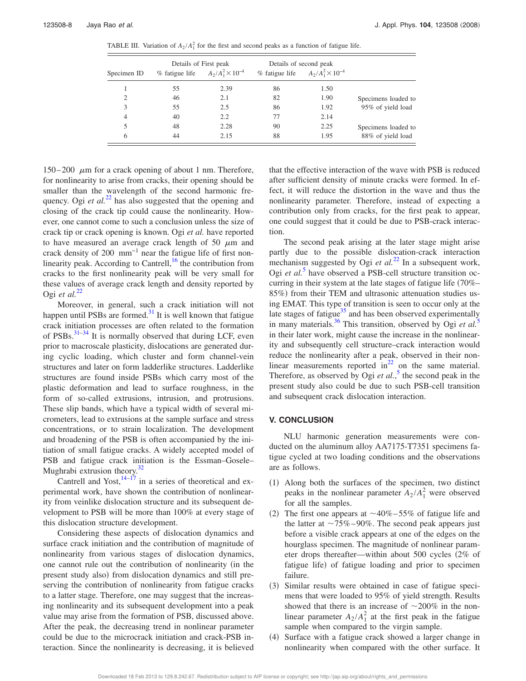TABLE III. Variation of  $A_2/A_1^2$  for the first and second peaks as a function of fatigue life.

| Specimen ID | Details of First peak |                            | Details of second peak                    |      |                     |
|-------------|-----------------------|----------------------------|-------------------------------------------|------|---------------------|
|             | % fatigue life        | $A_2/A_1^2 \times 10^{-4}$ | % fatigue life $A_2/A_1^2 \times 10^{-4}$ |      |                     |
|             | 55                    | 2.39                       | 86                                        | 1.50 |                     |
| 2           | 46                    | 2.1                        | 82                                        | 1.90 | Specimens loaded to |
| 3           | 55                    | 2.5                        | 86                                        | 1.92 | 95% of yield load   |
| 4           | 40                    | 2.2                        | 77                                        | 2.14 |                     |
| 5           | 48                    | 2.28                       | 90                                        | 2.25 | Specimens loaded to |
| 6           | 44                    | 2.15                       | 88                                        | 1.95 | 88% of yield load   |

150–200  $\mu$ m for a crack opening of about 1 nm. Therefore, for nonlinearity to arise from cracks, their opening should be smaller than the wavelength of the second harmonic frequency. Ogi *et al.*<sup>22</sup> has also suggested that the opening and closing of the crack tip could cause the nonlinearity. However, one cannot come to such a conclusion unless the size of crack tip or crack opening is known. Ogi *et al.* have reported to have measured an average crack length of 50  $\mu$ m and crack density of 200 mm−1 near the fatigue life of first nonlinearity peak. According to Cantrell, $^{16}$  the contribution from cracks to the first nonlinearity peak will be very small for these values of average crack length and density reported by Ogi *et al.*<sup>22</sup>

Moreover, in general, such a crack initiation will not happen until PSBs are formed. $31$  It is well known that fatigue crack initiation processes are often related to the formation of PSBs. $31-34$  It is normally observed that during LCF, even prior to macroscale plasticity, dislocations are generated during cyclic loading, which cluster and form channel-vein structures and later on form ladderlike structures. Ladderlike structures are found inside PSBs which carry most of the plastic deformation and lead to surface roughness, in the form of so-called extrusions, intrusion, and protrusions. These slip bands, which have a typical width of several micrometers, lead to extrusions at the sample surface and stress concentrations, or to strain localization. The development and broadening of the PSB is often accompanied by the initiation of small fatigue cracks. A widely accepted model of PSB and fatigue crack initiation is the Essman–Gosele– Mughrabi extrusion theory. $32$ 

Cantrell and Yost, $14-17$  in a series of theoretical and experimental work, have shown the contribution of nonlinearity from veinlike dislocation structure and its subsequent development to PSB will be more than 100% at every stage of this dislocation structure development.

Considering these aspects of dislocation dynamics and surface crack initiation and the contribution of magnitude of nonlinearity from various stages of dislocation dynamics, one cannot rule out the contribution of nonlinearity (in the present study also) from dislocation dynamics and still preserving the contribution of nonlinearity from fatigue cracks to a latter stage. Therefore, one may suggest that the increasing nonlinearity and its subsequent development into a peak value may arise from the formation of PSB, discussed above. After the peak, the decreasing trend in nonlinear parameter could be due to the microcrack initiation and crack-PSB interaction. Since the nonlinearity is decreasing, it is believed that the effective interaction of the wave with PSB is reduced after sufficient density of minute cracks were formed. In effect, it will reduce the distortion in the wave and thus the nonlinearity parameter. Therefore, instead of expecting a contribution only from cracks, for the first peak to appear, one could suggest that it could be due to PSB-crack interaction.

The second peak arising at the later stage might arise partly due to the possible dislocation-crack interaction mechanism suggested by Ogi *et al.*<sup>22</sup> In a subsequent work, Ogi et al.<sup>5</sup> have observed a PSB-cell structure transition occurring in their system at the late stages of fatigue life (70%– 85%) from their TEM and ultrasonic attenuation studies using EMAT. This type of transition is seen to occur only at the late stages of fatigue $35$  and has been observed experimentally in many materials.<sup>36</sup> This transition, observed by Ogi *et al.*<sup>5</sup> in their later work, might cause the increase in the nonlinearity and subsequently cell structure–crack interaction would reduce the nonlinearity after a peak, observed in their nonlinear measurements reported in $^{22}$  on the same material. Therefore, as observed by Ogi et al.,<sup>5</sup> the second peak in the present study also could be due to such PSB-cell transition and subsequent crack dislocation interaction.

### **V. CONCLUSION**

NLU harmonic generation measurements were conducted on the aluminum alloy AA7175-T7351 specimens fatigue cycled at two loading conditions and the observations are as follows.

- (1) Along both the surfaces of the specimen, two distinct peaks in the nonlinear parameter  $A_2/A_1^2$  were observed for all the samples.
- (2) The first one appears at  $\sim$  40%–55% of fatigue life and the latter at  $\sim 75\% - 90\%$ . The second peak appears just before a visible crack appears at one of the edges on the hourglass specimen. The magnitude of nonlinear parameter drops thereafter—within about 500 cycles 2% of fatigue life) of fatigue loading and prior to specimen failure.
- (3) Similar results were obtained in case of fatigue specimens that were loaded to 95% of yield strength. Results showed that there is an increase of  $\sim$ 200% in the nonlinear parameter  $A_2/A_1^2$  at the first peak in the fatigue sample when compared to the virgin sample.
- $(4)$  Surface with a fatigue crack showed a larger change in nonlinearity when compared with the other surface. It